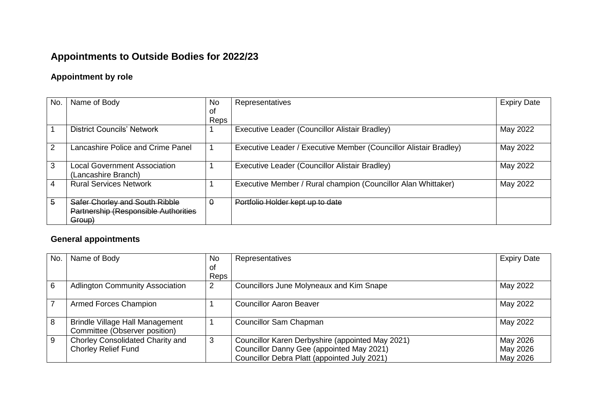## **Appointments to Outside Bodies for 2022/23**

## **Appointment by role**

| No. | Name of Body                                                                     | <b>No</b> | Representatives                                                   | <b>Expiry Date</b> |
|-----|----------------------------------------------------------------------------------|-----------|-------------------------------------------------------------------|--------------------|
|     |                                                                                  | οt        |                                                                   |                    |
|     |                                                                                  | Reps      |                                                                   |                    |
|     | <b>District Councils' Network</b>                                                |           | Executive Leader (Councillor Alistair Bradley)                    | May 2022           |
| 2   | Lancashire Police and Crime Panel                                                |           | Executive Leader / Executive Member (Councillor Alistair Bradley) | May 2022           |
| 3   | <b>Local Government Association</b><br>(Lancashire Branch)                       |           | Executive Leader (Councillor Alistair Bradley)                    | May 2022           |
| 4   | <b>Rural Services Network</b>                                                    |           | Executive Member / Rural champion (Councillor Alan Whittaker)     | May 2022           |
| 5   | Safer Chorley and South Ribble<br>Partnership (Responsible Authorities<br>Group) | $\Theta$  | Portfolio Holder kept up to date                                  |                    |

## **General appointments**

| No.            | Name of Body                                                            | <b>No</b> | Representatives                                                                               | <b>Expiry Date</b>   |
|----------------|-------------------------------------------------------------------------|-----------|-----------------------------------------------------------------------------------------------|----------------------|
|                |                                                                         | of        |                                                                                               |                      |
|                |                                                                         | Reps      |                                                                                               |                      |
| 6              | <b>Adlington Community Association</b>                                  | 2         | Councillors June Molyneaux and Kim Snape                                                      | May 2022             |
| $\overline{7}$ | Armed Forces Champion                                                   |           | <b>Councillor Aaron Beaver</b>                                                                | May 2022             |
| 8              | <b>Brindle Village Hall Management</b><br>Committee (Observer position) |           | <b>Councillor Sam Chapman</b>                                                                 | May 2022             |
| 9              | Chorley Consolidated Charity and<br><b>Chorley Relief Fund</b>          | 3         | Councillor Karen Derbyshire (appointed May 2021)<br>Councillor Danny Gee (appointed May 2021) | May 2026<br>May 2026 |
|                |                                                                         |           | Councillor Debra Platt (appointed July 2021)                                                  | May 2026             |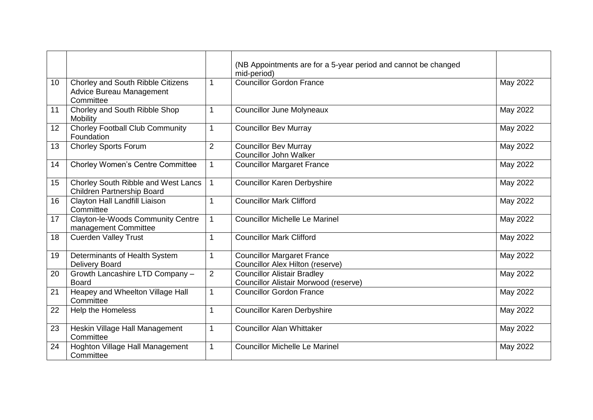|    |                                                                                   |                | (NB Appointments are for a 5-year period and cannot be changed<br>mid-period) |          |
|----|-----------------------------------------------------------------------------------|----------------|-------------------------------------------------------------------------------|----------|
| 10 | Chorley and South Ribble Citizens<br><b>Advice Bureau Management</b><br>Committee | 1              | <b>Councillor Gordon France</b>                                               | May 2022 |
| 11 | Chorley and South Ribble Shop<br>Mobility                                         | 1              | <b>Councillor June Molyneaux</b>                                              | May 2022 |
| 12 | <b>Chorley Football Club Community</b><br>Foundation                              | 1              | <b>Councillor Bev Murray</b>                                                  | May 2022 |
| 13 | <b>Chorley Sports Forum</b>                                                       | $\overline{2}$ | <b>Councillor Bev Murray</b><br><b>Councillor John Walker</b>                 | May 2022 |
| 14 | <b>Chorley Women's Centre Committee</b>                                           | 1              | Councillor Margaret France                                                    | May 2022 |
| 15 | Chorley South Ribble and West Lancs<br><b>Children Partnership Board</b>          |                | <b>Councillor Karen Derbyshire</b>                                            | May 2022 |
| 16 | Clayton Hall Landfill Liaison<br>Committee                                        | 1              | <b>Councillor Mark Clifford</b>                                               | May 2022 |
| 17 | Clayton-le-Woods Community Centre<br>management Committee                         | 1              | <b>Councillor Michelle Le Marinel</b>                                         | May 2022 |
| 18 | Cuerden Valley Trust                                                              | 1              | <b>Councillor Mark Clifford</b>                                               | May 2022 |
| 19 | Determinants of Health System<br><b>Delivery Board</b>                            | 1              | <b>Councillor Margaret France</b><br><b>Councillor Alex Hilton (reserve)</b>  | May 2022 |
| 20 | Growth Lancashire LTD Company -<br><b>Board</b>                                   | $\overline{2}$ | <b>Councillor Alistair Bradley</b><br>Councillor Alistair Morwood (reserve)   | May 2022 |
| 21 | Heapey and Wheelton Village Hall<br>Committee                                     | 1              | <b>Councillor Gordon France</b>                                               | May 2022 |
| 22 | Help the Homeless                                                                 | 1              | <b>Councillor Karen Derbyshire</b>                                            | May 2022 |
| 23 | Heskin Village Hall Management<br>Committee                                       | 1              | <b>Councillor Alan Whittaker</b>                                              | May 2022 |
| 24 | Hoghton Village Hall Management<br>Committee                                      | 1              | <b>Councillor Michelle Le Marinel</b>                                         | May 2022 |